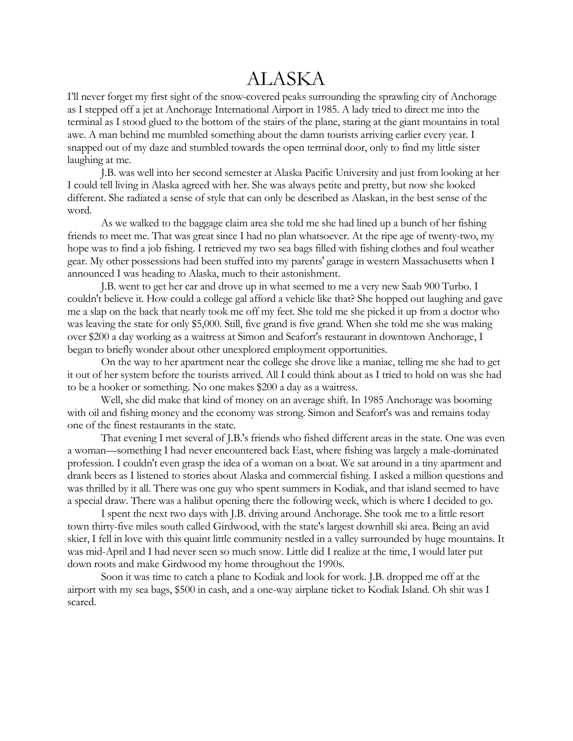## ALASKA

I'll never forget my first sight of the snow-covered peaks surrounding the sprawling city of Anchorage as I stepped off a jet at Anchorage International Airport in 1985. A lady tried to direct me into the terminal as I stood glued to the bottom of the stairs of the plane, staring at the giant mountains in total awe. A man behind me mumbled something about the damn tourists arriving earlier every year. I snapped out of my daze and stumbled towards the open terminal door, only to find my little sister laughing at me.

J.B. was well into her second semester at Alaska Pacific University and just from looking at her I could tell living in Alaska agreed with her. She was always petite and pretty, but now she looked different. She radiated a sense of style that can only be described as Alaskan, in the best sense of the word.

As we walked to the baggage claim area she told me she had lined up a bunch of her fishing friends to meet me. That was great since I had no plan whatsoever. At the ripe age of twenty-two, my hope was to find a job fishing. I retrieved my two sea bags filled with fishing clothes and foul weather gear. My other possessions had been stuffed into my parents' garage in western Massachusetts when I announced I was heading to Alaska, much to their astonishment.

J.B. went to get her car and drove up in what seemed to me a very new Saab 900 Turbo. I couldn't believe it. How could a college gal afford a vehicle like that? She hopped out laughing and gave me a slap on the back that nearly took me off my feet. She told me she picked it up from a doctor who was leaving the state for only \$5,000. Still, five grand is five grand. When she told me she was making over \$200 a day working as a waitress at Simon and Seafort's restaurant in downtown Anchorage, I began to briefly wonder about other unexplored employment opportunities.

On the way to her apartment near the college she drove like a maniac, telling me she had to get it out of her system before the tourists arrived. All I could think about as I tried to hold on was she had to be a hooker or something. No one makes \$200 a day as a waitress.

Well, she did make that kind of money on an average shift. In 1985 Anchorage was booming with oil and fishing money and the economy was strong. Simon and Seafort's was and remains today one of the finest restaurants in the state.

That evening I met several of J.B.'s friends who fished different areas in the state. One was even a woman—something I had never encountered back East, where fishing was largely a male-dominated profession. I couldn't even grasp the idea of a woman on a boat. We sat around in a tiny apartment and drank beers as I listened to stories about Alaska and commercial fishing. I asked a million questions and was thrilled by it all. There was one guy who spent summers in Kodiak, and that island seemed to have a special draw. There was a halibut opening there the following week, which is where I decided to go.

I spent the next two days with J.B. driving around Anchorage. She took me to a little resort town thirty-five miles south called Girdwood, with the state's largest downhill ski area. Being an avid skier, I fell in love with this quaint little community nestled in a valley surrounded by huge mountains. It was mid-April and I had never seen so much snow. Little did I realize at the time, I would later put down roots and make Girdwood my home throughout the 1990s.

Soon it was time to catch a plane to Kodiak and look for work. J.B. dropped me off at the airport with my sea bags, \$500 in cash, and a one-way airplane ticket to Kodiak Island. Oh shit was I scared.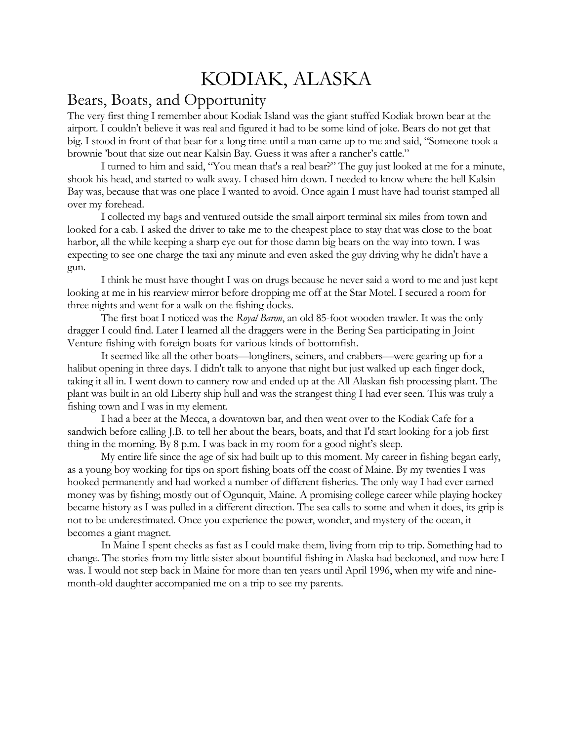# KODIAK, ALASKA

#### Bears, Boats, and Opportunity

The very first thing I remember about Kodiak Island was the giant stuffed Kodiak brown bear at the airport. I couldn't believe it was real and figured it had to be some kind of joke. Bears do not get that big. I stood in front of that bear for a long time until a man came up to me and said, "Someone took a brownie 'bout that size out near Kalsin Bay. Guess it was after a rancher's cattle."

I turned to him and said, "You mean that's a real bear?" The guy just looked at me for a minute, shook his head, and started to walk away. I chased him down. I needed to know where the hell Kalsin Bay was, because that was one place I wanted to avoid. Once again I must have had tourist stamped all over my forehead.

I collected my bags and ventured outside the small airport terminal six miles from town and looked for a cab. I asked the driver to take me to the cheapest place to stay that was close to the boat harbor, all the while keeping a sharp eye out for those damn big bears on the way into town. I was expecting to see one charge the taxi any minute and even asked the guy driving why he didn't have a gun.

I think he must have thought I was on drugs because he never said a word to me and just kept looking at me in his rearview mirror before dropping me off at the Star Motel. I secured a room for three nights and went for a walk on the fishing docks.

The first boat I noticed was the *Royal Baron*, an old 85-foot wooden trawler. It was the only dragger I could find. Later I learned all the draggers were in the Bering Sea participating in Joint Venture fishing with foreign boats for various kinds of bottomfish.

It seemed like all the other boats—longliners, seiners, and crabbers—were gearing up for a halibut opening in three days. I didn't talk to anyone that night but just walked up each finger dock, taking it all in. I went down to cannery row and ended up at the All Alaskan fish processing plant. The plant was built in an old Liberty ship hull and was the strangest thing I had ever seen. This was truly a fishing town and I was in my element.

I had a beer at the Mecca, a downtown bar, and then went over to the Kodiak Cafe for a sandwich before calling J.B. to tell her about the bears, boats, and that I'd start looking for a job first thing in the morning. By 8 p.m. I was back in my room for a good night's sleep.

My entire life since the age of six had built up to this moment. My career in fishing began early, as a young boy working for tips on sport fishing boats off the coast of Maine. By my twenties I was hooked permanently and had worked a number of different fisheries. The only way I had ever earned money was by fishing; mostly out of Ogunquit, Maine. A promising college career while playing hockey became history as I was pulled in a different direction. The sea calls to some and when it does, its grip is not to be underestimated. Once you experience the power, wonder, and mystery of the ocean, it becomes a giant magnet.

In Maine I spent checks as fast as I could make them, living from trip to trip. Something had to change. The stories from my little sister about bountiful fishing in Alaska had beckoned, and now here I was. I would not step back in Maine for more than ten years until April 1996, when my wife and ninemonth-old daughter accompanied me on a trip to see my parents.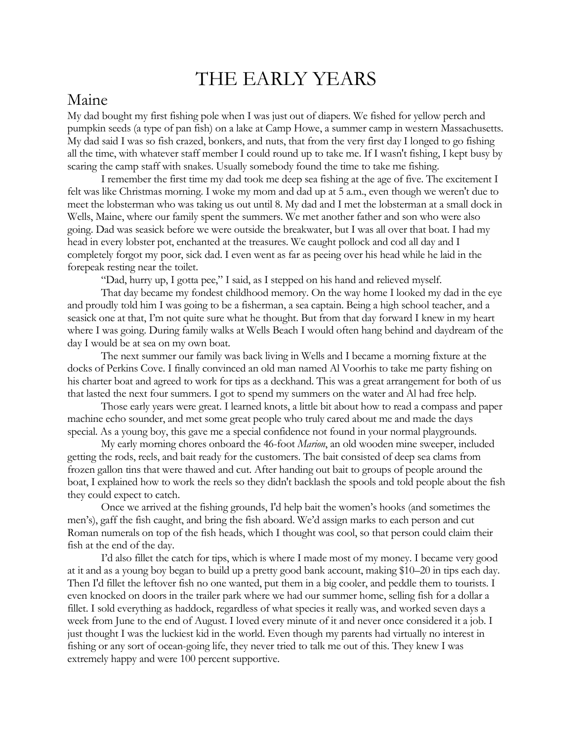### THE EARLY YEARS

#### Maine

My dad bought my first fishing pole when I was just out of diapers. We fished for yellow perch and pumpkin seeds (a type of pan fish) on a lake at Camp Howe, a summer camp in western Massachusetts. My dad said I was so fish crazed, bonkers, and nuts, that from the very first day I longed to go fishing all the time, with whatever staff member I could round up to take me. If I wasn't fishing, I kept busy by scaring the camp staff with snakes. Usually somebody found the time to take me fishing.

I remember the first time my dad took me deep sea fishing at the age of five. The excitement I felt was like Christmas morning. I woke my mom and dad up at 5 a.m., even though we weren't due to meet the lobsterman who was taking us out until 8. My dad and I met the lobsterman at a small dock in Wells, Maine, where our family spent the summers. We met another father and son who were also going. Dad was seasick before we were outside the breakwater, but I was all over that boat. I had my head in every lobster pot, enchanted at the treasures. We caught pollock and cod all day and I completely forgot my poor, sick dad. I even went as far as peeing over his head while he laid in the forepeak resting near the toilet.

"Dad, hurry up, I gotta pee," I said, as I stepped on his hand and relieved myself.

That day became my fondest childhood memory. On the way home I looked my dad in the eye and proudly told him I was going to be a fisherman, a sea captain. Being a high school teacher, and a seasick one at that, I'm not quite sure what he thought. But from that day forward I knew in my heart where I was going. During family walks at Wells Beach I would often hang behind and daydream of the day I would be at sea on my own boat.

The next summer our family was back living in Wells and I became a morning fixture at the docks of Perkins Cove. I finally convinced an old man named Al Voorhis to take me party fishing on his charter boat and agreed to work for tips as a deckhand. This was a great arrangement for both of us that lasted the next four summers. I got to spend my summers on the water and Al had free help.

Those early years were great. I learned knots, a little bit about how to read a compass and paper machine echo sounder, and met some great people who truly cared about me and made the days special. As a young boy, this gave me a special confidence not found in your normal playgrounds.

My early morning chores onboard the 46-foot *Marion*, an old wooden mine sweeper, included getting the rods, reels, and bait ready for the customers. The bait consisted of deep sea clams from frozen gallon tins that were thawed and cut. After handing out bait to groups of people around the boat, I explained how to work the reels so they didn't backlash the spools and told people about the fish they could expect to catch.

Once we arrived at the fishing grounds, I'd help bait the women's hooks (and sometimes the men's), gaff the fish caught, and bring the fish aboard. We'd assign marks to each person and cut Roman numerals on top of the fish heads, which I thought was cool, so that person could claim their fish at the end of the day.

I'd also fillet the catch for tips, which is where I made most of my money. I became very good at it and as a young boy began to build up a pretty good bank account, making \$10–20 in tips each day. Then I'd fillet the leftover fish no one wanted, put them in a big cooler, and peddle them to tourists. I even knocked on doors in the trailer park where we had our summer home, selling fish for a dollar a fillet. I sold everything as haddock, regardless of what species it really was, and worked seven days a week from June to the end of August. I loved every minute of it and never once considered it a job. I just thought I was the luckiest kid in the world. Even though my parents had virtually no interest in fishing or any sort of ocean-going life, they never tried to talk me out of this. They knew I was extremely happy and were 100 percent supportive.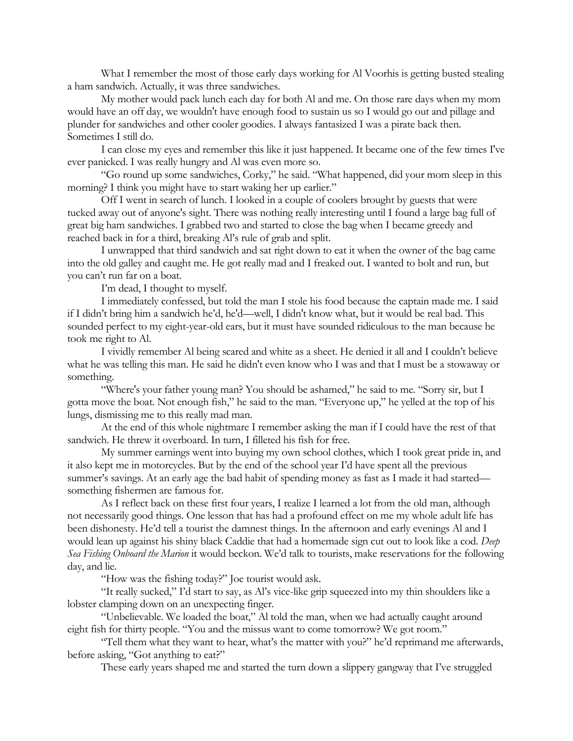What I remember the most of those early days working for Al Voorhis is getting busted stealing a ham sandwich. Actually, it was three sandwiches.

My mother would pack lunch each day for both Al and me. On those rare days when my mom would have an off day, we wouldn't have enough food to sustain us so I would go out and pillage and plunder for sandwiches and other cooler goodies. I always fantasized I was a pirate back then. Sometimes I still do.

I can close my eyes and remember this like it just happened. It became one of the few times I've ever panicked. I was really hungry and Al was even more so.

"Go round up some sandwiches, Corky," he said. "What happened, did your mom sleep in this morning? I think you might have to start waking her up earlier."

Off I went in search of lunch. I looked in a couple of coolers brought by guests that were tucked away out of anyone's sight. There was nothing really interesting until I found a large bag full of great big ham sandwiches. I grabbed two and started to close the bag when I became greedy and reached back in for a third, breaking Al's rule of grab and split.

I unwrapped that third sandwich and sat right down to eat it when the owner of the bag came into the old galley and caught me. He got really mad and I freaked out. I wanted to bolt and run, but you can't run far on a boat.

I'm dead, I thought to myself.

I immediately confessed, but told the man I stole his food because the captain made me. I said if I didn't bring him a sandwich he'd, he'd—well, I didn't know what, but it would be real bad. This sounded perfect to my eight-year-old ears, but it must have sounded ridiculous to the man because he took me right to Al.

I vividly remember Al being scared and white as a sheet. He denied it all and I couldn't believe what he was telling this man. He said he didn't even know who I was and that I must be a stowaway or something.

"Where's your father young man? You should be ashamed," he said to me. "Sorry sir, but I gotta move the boat. Not enough fish," he said to the man. "Everyone up," he yelled at the top of his lungs, dismissing me to this really mad man.

At the end of this whole nightmare I remember asking the man if I could have the rest of that sandwich. He threw it overboard. In turn, I filleted his fish for free.

My summer earnings went into buying my own school clothes, which I took great pride in, and it also kept me in motorcycles. But by the end of the school year I'd have spent all the previous summer's savings. At an early age the bad habit of spending money as fast as I made it had started something fishermen are famous for.

As I reflect back on these first four years, I realize I learned a lot from the old man, although not necessarily good things. One lesson that has had a profound effect on me my whole adult life has been dishonesty. He'd tell a tourist the damnest things. In the afternoon and early evenings Al and I would lean up against his shiny black Caddie that had a homemade sign cut out to look like a cod. *Deep Sea Fishing Onboard the Marion* it would beckon. We'd talk to tourists, make reservations for the following day, and lie.

"How was the fishing today?" Joe tourist would ask.

"It really sucked," I'd start to say, as Al's vice-like grip squeezed into my thin shoulders like a lobster clamping down on an unexpecting finger.

"Unbelievable. We loaded the boat," Al told the man, when we had actually caught around eight fish for thirty people. "You and the missus want to come tomorrow? We got room."

"Tell them what they want to hear, what's the matter with you?" he'd reprimand me afterwards, before asking, "Got anything to eat?"

These early years shaped me and started the turn down a slippery gangway that I've struggled